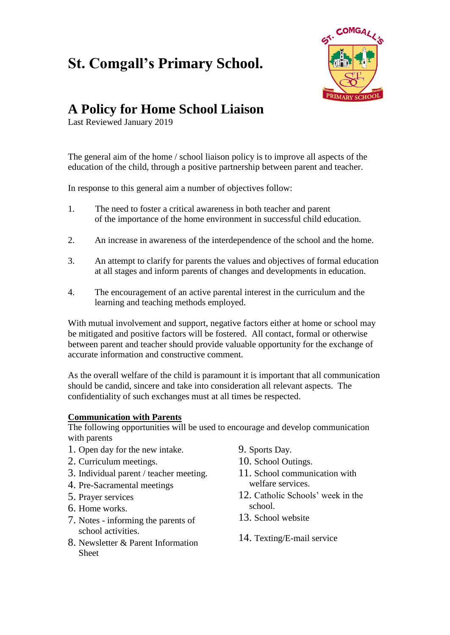## **St. Comgall's Primary School.**



## **A Policy for Home School Liaison**

Last Reviewed January 2019

The general aim of the home / school liaison policy is to improve all aspects of the education of the child, through a positive partnership between parent and teacher.

In response to this general aim a number of objectives follow:

- 1. The need to foster a critical awareness in both teacher and parent of the importance of the home environment in successful child education.
- 2. An increase in awareness of the interdependence of the school and the home.
- 3. An attempt to clarify for parents the values and objectives of formal education at all stages and inform parents of changes and developments in education.
- 4. The encouragement of an active parental interest in the curriculum and the learning and teaching methods employed.

With mutual involvement and support, negative factors either at home or school may be mitigated and positive factors will be fostered. All contact, formal or otherwise between parent and teacher should provide valuable opportunity for the exchange of accurate information and constructive comment.

As the overall welfare of the child is paramount it is important that all communication should be candid, sincere and take into consideration all relevant aspects. The confidentiality of such exchanges must at all times be respected.

## **Communication with Parents**

The following opportunities will be used to encourage and develop communication with parents

- 1. Open day for the new intake.
- 2. Curriculum meetings.
- 3. Individual parent / teacher meeting.
- 4. Pre-Sacramental meetings
- 5. Prayer services
- 6. Home works.
- 7. Notes informing the parents of school activities.
- 8. Newsletter & Parent Information Sheet
- 9. Sports Day.
- 10. School Outings.
- 11. School communication with welfare services.
- 12. Catholic Schools' week in the school.
- 13. School website
- 14. Texting/E-mail service